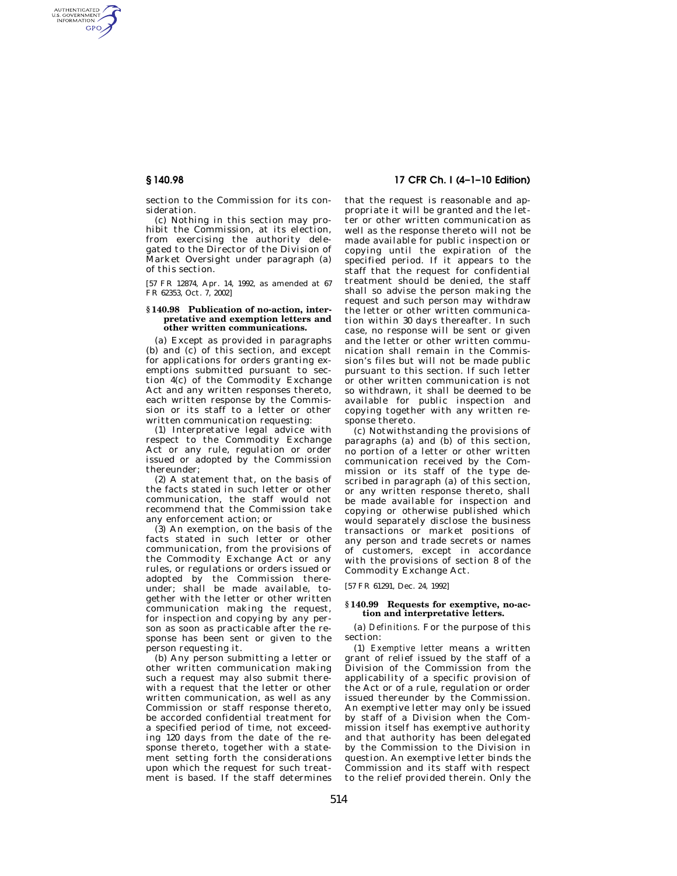AUTHENTICATED<br>U.S. GOVERNMENT<br>INFORMATION GPO

> section to the Commission for its consideration.

> (c) Nothing in this section may prohibit the Commission, at its election, from exercising the authority delegated to the Director of the Division of Market Oversight under paragraph (a) of this section.

> [57 FR 12874, Apr. 14, 1992, as amended at 67 FR 62353, Oct. 7, 2002]

### **§ 140.98 Publication of no-action, interpretative and exemption letters and other written communications.**

(a) Except as provided in paragraphs (b) and (c) of this section, and except for applications for orders granting exemptions submitted pursuant to section 4(c) of the Commodity Exchange Act and any written responses thereto, each written response by the Commission or its staff to a letter or other written communication requesting:

(1) Interpretative legal advice with respect to the Commodity Exchange Act or any rule, regulation or order issued or adopted by the Commission thereunder;

(2) A statement that, on the basis of the facts stated in such letter or other communication, the staff would not recommend that the Commission take any enforcement action; or

(3) An exemption, on the basis of the facts stated in such letter or other communication, from the provisions of the Commodity Exchange Act or any rules, or regulations or orders issued or adopted by the Commission thereunder; shall be made available, together with the letter or other written communication making the request, for inspection and copying by any person as soon as practicable after the response has been sent or given to the person requesting it.

(b) Any person submitting a letter or other written communication making such a request may also submit therewith a request that the letter or other written communication, as well as any Commission or staff response thereto, be accorded confidential treatment for a specified period of time, not exceeding 120 days from the date of the response thereto, together with a statement setting forth the considerations upon which the request for such treatment is based. If the staff determines

# **§ 140.98 17 CFR Ch. I (4–1–10 Edition)**

that the request is reasonable and appropriate it will be granted and the letter or other written communication as well as the response thereto will not be made available for public inspection or copying until the expiration of the specified period. If it appears to the staff that the request for confidential treatment should be denied, the staff shall so advise the person making the request and such person may withdraw the letter or other written communication within 30 days thereafter. In such case, no response will be sent or given and the letter or other written communication shall remain in the Commission's files but will not be made public pursuant to this section. If such letter or other written communication is not so withdrawn, it shall be deemed to be available for public inspection and copying together with any written response thereto.

(c) Notwithstanding the provisions of paragraphs (a) and  $(b)$  of this section, no portion of a letter or other written communication received by the Commission or its staff of the type described in paragraph (a) of this section, or any written response thereto, shall be made available for inspection and copying or otherwise published which would separately disclose the business transactions or market positions of any person and trade secrets or names of customers, except in accordance with the provisions of section 8 of the Commodity Exchange Act.

[57 FR 61291, Dec. 24, 1992]

### **§ 140.99 Requests for exemptive, no-action and interpretative letters.**

(a) *Definitions.* For the purpose of this section:

(1) *Exemptive letter* means a written grant of relief issued by the staff of a Division of the Commission from the applicability of a specific provision of the Act or of a rule, regulation or order issued thereunder by the Commission. An exemptive letter may only be issued by staff of a Division when the Commission itself has exemptive authority and that authority has been delegated by the Commission to the Division in question. An exemptive letter binds the Commission and its staff with respect to the relief provided therein. Only the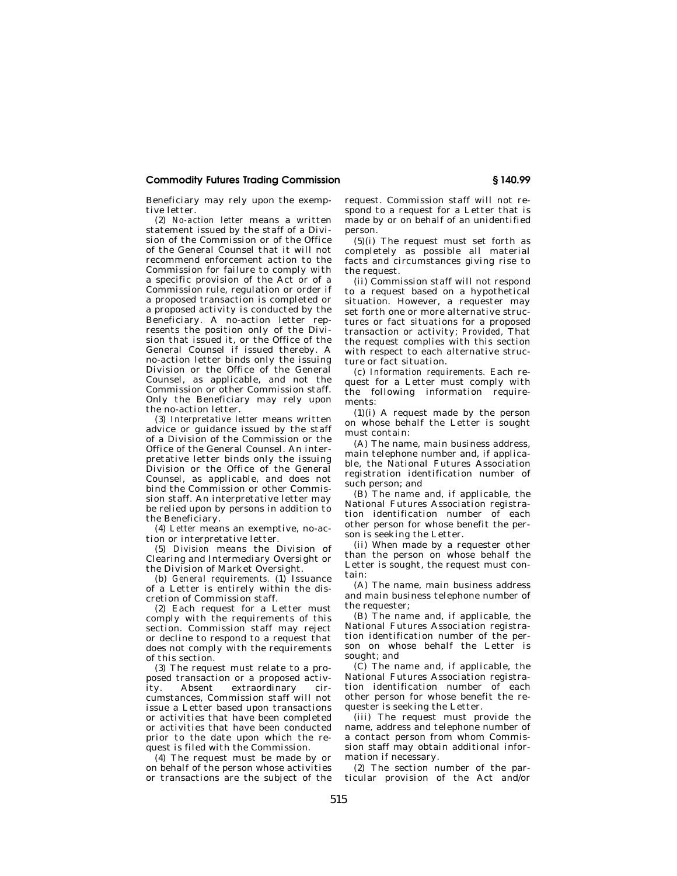## **Commodity Futures Trading Commission § 140.99**

Beneficiary may rely upon the exemptive letter.

(2) *No-action letter* means a written statement issued by the staff of a Division of the Commission or of the Office of the General Counsel that it will not recommend enforcement action to the Commission for failure to comply with a specific provision of the Act or of a Commission rule, regulation or order if a proposed transaction is completed or a proposed activity is conducted by the Beneficiary. A no-action letter represents the position only of the Division that issued it, or the Office of the General Counsel if issued thereby. A no-action letter binds only the issuing Division or the Office of the General Counsel, as applicable, and not the Commission or other Commission staff. Only the Beneficiary may rely upon the no-action letter.

(3) *Interpretative letter* means written advice or guidance issued by the staff of a Division of the Commission or the Office of the General Counsel. An interpretative letter binds only the issuing Division or the Office of the General Counsel, as applicable, and does not bind the Commission or other Commission staff. An interpretative letter may be relied upon by persons in addition to the Beneficiary.

(4) *Letter* means an exemptive, no-action or interpretative letter.

(5) *Division* means the Division of Clearing and Intermediary Oversight or the Division of Market Oversight.

(b) *General requirements.* (1) Issuance of a Letter is entirely within the discretion of Commission staff.

(2) Each request for a Letter must comply with the requirements of this section. Commission staff may reject or decline to respond to a request that does not comply with the requirements of this section.

(3) The request must relate to a proposed transaction or a proposed activity.<br>
ty. Absent extraordinary cirity. Absent extraordinary cumstances, Commission staff will not issue a Letter based upon transactions or activities that have been completed or activities that have been conducted prior to the date upon which the request is filed with the Commission.

(4) The request must be made by or on behalf of the person whose activities or transactions are the subject of the request. Commission staff will not respond to a request for a Letter that is made by or on behalf of an unidentified person.

(5)(i) The request must set forth as completely as possible all material facts and circumstances giving rise to the request.

(ii) Commission staff will not respond to a request based on a hypothetical situation. However, a requester may set forth one or more alternative structures or fact situations for a proposed transaction or activity; *Provided,* That the request complies with this section with respect to each alternative structure or fact situation.

(c) *Information requirements.* Each request for a Letter must comply with the following information requirements:

(1)(i) A request made by the person on whose behalf the Letter is sought must contain:

(A) The name, main business address, main telephone number and, if applicable, the National Futures Association registration identification number of such person; and

(B) The name and, if applicable, the National Futures Association registration identification number of each other person for whose benefit the person is seeking the Letter.

(ii) When made by a requester other than the person on whose behalf the Letter is sought, the request must contain:

(A) The name, main business address and main business telephone number of the requester;

(B) The name and, if applicable, the National Futures Association registration identification number of the person on whose behalf the Letter is sought; and

(C) The name and, if applicable, the National Futures Association registration identification number of each other person for whose benefit the requester is seeking the Letter.

(iii) The request must provide the name, address and telephone number of a contact person from whom Commission staff may obtain additional information if necessary.

(2) The section number of the particular provision of the Act and/or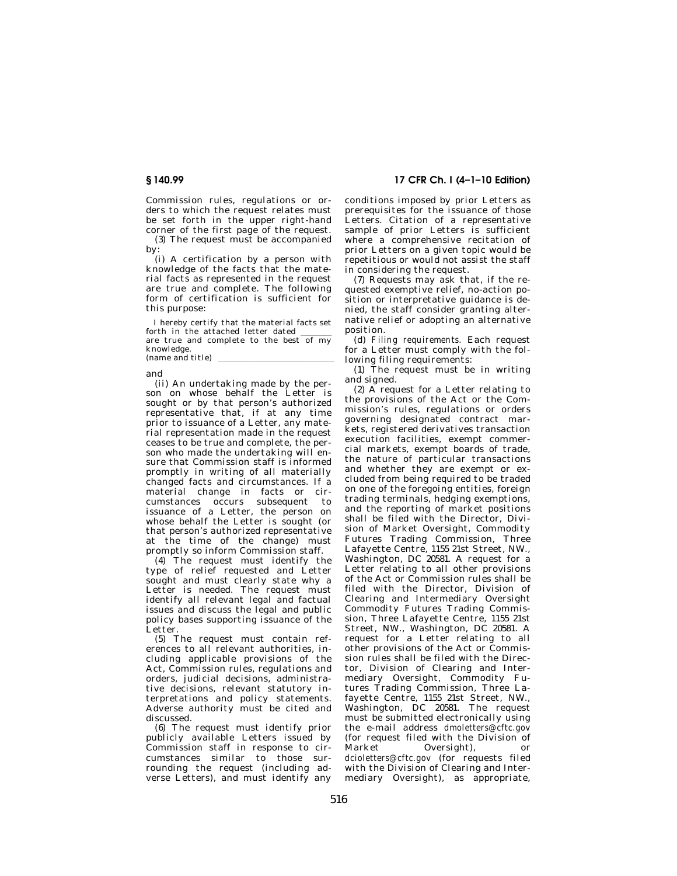Commission rules, regulations or orders to which the request relates must be set forth in the upper right-hand corner of the first page of the request. (3) The request must be accompanied

by:

(i) A certification by a person with knowledge of the facts that the material facts as represented in the request are true and complete. The following form of certification is sufficient for this purpose:

I hereby certify that the material facts set forth in the attached letter dated  $\frac{1}{\text{arc}}$  are true and complete to the best of my knowledge. (name and title)

and

(ii) An undertaking made by the person on whose behalf the Letter is sought or by that person's authorized representative that, if at any time prior to issuance of a Letter, any material representation made in the request ceases to be true and complete, the person who made the undertaking will ensure that Commission staff is informed promptly in writing of all materially changed facts and circumstances. If a material change in facts or circumstances occurs subsequent to issuance of a Letter, the person on whose behalf the Letter is sought (or that person's authorized representative at the time of the change) must promptly so inform Commission staff.

(4) The request must identify the type of relief requested and Letter sought and must clearly state why a Letter is needed. The request must identify all relevant legal and factual issues and discuss the legal and public policy bases supporting issuance of the Letter.

(5) The request must contain references to all relevant authorities, including applicable provisions of the Act, Commission rules, regulations and orders, judicial decisions, administrative decisions, relevant statutory interpretations and policy statements. Adverse authority must be cited and discussed.

(6) The request must identify prior publicly available Letters issued by .<br>Commission staff in response to circumstances similar to those surrounding the request (including adverse Letters), and must identify any

**§ 140.99 17 CFR Ch. I (4–1–10 Edition)** 

conditions imposed by prior Letters as prerequisites for the issuance of those Letters. Citation of a representative sample of prior Letters is sufficient where a comprehensive recitation of prior Letters on a given topic would be repetitious or would not assist the staff in considering the request.

(7) Requests may ask that, if the requested exemptive relief, no-action position or interpretative guidance is denied, the staff consider granting alternative relief or adopting an alternative position.

(d) *Filing requirements.* Each request for a Letter must comply with the following filing requirements:

(1) The request must be in writing and signed.

(2)  $\overrightarrow{A}$  request for a Letter relating to the provisions of the Act or the Commission's rules, regulations or orders governing designated contract markets, registered derivatives transaction execution facilities, exempt commercial markets, exempt boards of trade, the nature of particular transactions and whether they are exempt or excluded from being required to be traded on one of the foregoing entities, foreign trading terminals, hedging exemptions, and the reporting of market positions shall be filed with the Director, Division of Market Oversight, Commodity Futures Trading Commission, Three Lafayette Centre, 1155 21st Street, NW., Washington, DC 20581. A request for a Letter relating to all other provisions of the Act or Commission rules shall be filed with the Director, Division of Clearing and Intermediary Oversight Commodity Futures Trading Commission, Three Lafayette Centre, 1155 21st Street, NW., Washington, DC 20581. A request for a Letter relating to all other provisions of the Act or Commission rules shall be filed with the Director, Division of Clearing and Intermediary Oversight, Commodity Futures Trading Commission, Three Lafayette Centre, 1155 21st Street, NW., Washington, DC 20581. The request must be submitted electronically using the e-mail address *dmoletters@cftc.gov*  (for request filed with the Division of<br>Market Oversight), or Oversight), or *dcioletters@cftc.gov* (for requests filed with the Division of Clearing and Intermediary Oversight), as appropriate,